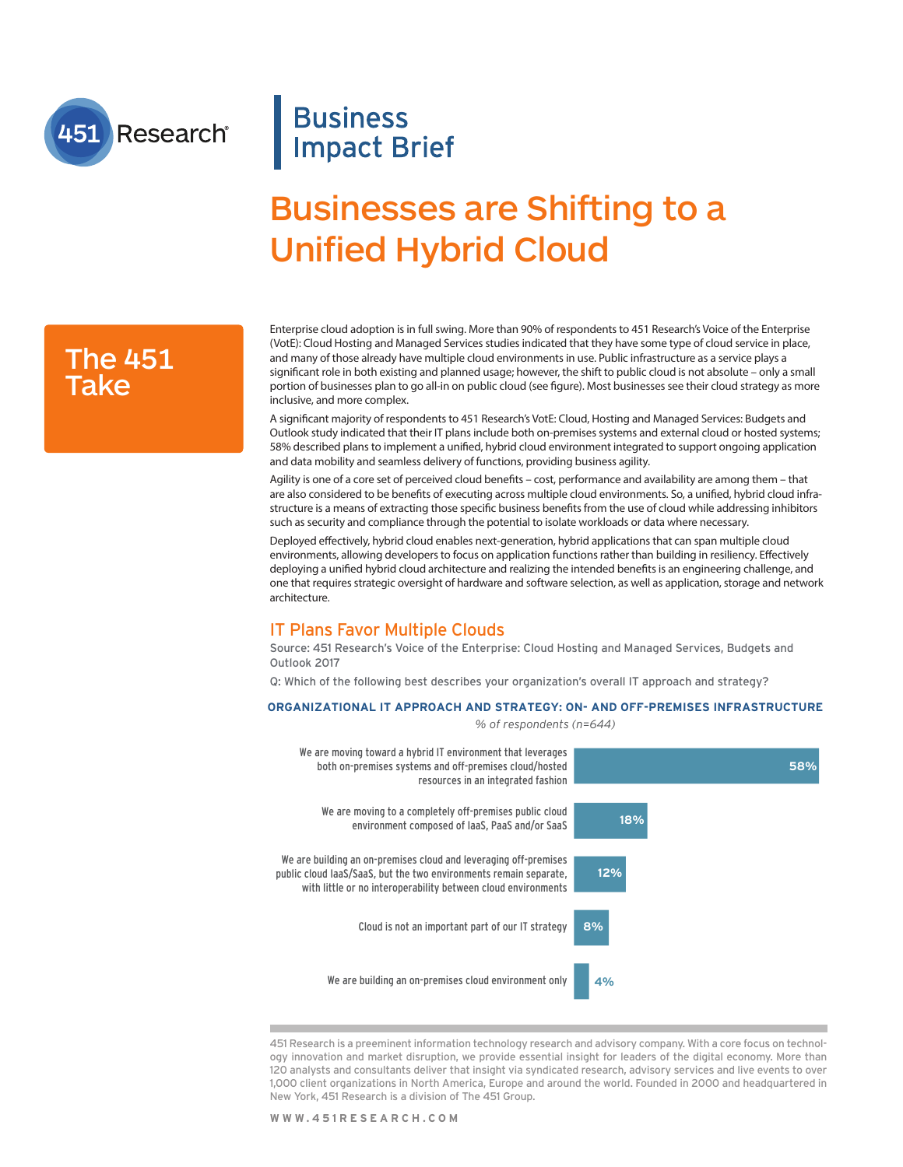

## **Business Impact Brief**

# Businesses are Shifting to a Unified Hybrid Cloud

### The 451 Take

Enterprise cloud adoption is in full swing. More than 90% of respondents to 451 Research's Voice of the Enterprise (VotE): Cloud Hosting and Managed Services studies indicated that they have some type of cloud service in place, and many of those already have multiple cloud environments in use. Public infrastructure as a service plays a signifcant role in both existing and planned usage; however, the shift to public cloud is not absolute – only a small portion of businesses plan to go all-in on public cloud (see fgure). Most businesses see their cloud strategy as more inclusive, and more complex.

A signifcant majority of respondents to 451 Research's VotE: Cloud, Hosting and Managed Services: Budgets and Outlook study indicated that their IT plans include both on-premises systems and external cloud or hosted systems; 58% described plans to implement a unifed, hybrid cloud environment integrated to support ongoing application and data mobility and seamless delivery of functions, providing business agility.

Agility is one of a core set of perceived cloud benefts – cost, performance and availability are among them – that are also considered to be benefts of executing across multiple cloud environments. So, a unifed, hybrid cloud infrastructure is a means of extracting those specifc business benefts from the use of cloud while addressing inhibitors such as security and compliance through the potential to isolate workloads or data where necessary.

Deployed efectively, hybrid cloud enables next-generation, hybrid applications that can span multiple cloud environments, allowing developers to focus on application functions rather than building in resiliency. Efectively deploying a unifed hybrid cloud architecture and realizing the intended benefts is an engineering challenge, and one that requires strategic oversight of hardware and software selection, as well as application, storage and network architecture.

### IT Plans Favor Multiple Clouds

Source: 451 Research's Voice of the Enterprise: Cloud Hosting and Managed Services, Budgets and Outlook 2017

Q: Which of the following best describes your organization's overall IT approach and strategy?

#### **ORGANIZATIONAL IT APPROACH AND STRATEGY: ON- AND OFF-PREMISES INFRASTRUCTURE**

*% of respondents (n=644)*



451 Research is a preeminent information technology research and advisory company. With a core focus on technology innovation and market disruption, we provide essential insight for leaders of the digital economy. More than 120 analysts and consultants deliver that insight via syndicated research, advisory services and live events to over 1,000 client organizations in North America, Europe and around the world. Founded in 2000 and headquartered in New York, 451 Research is a division of The 451 Group.